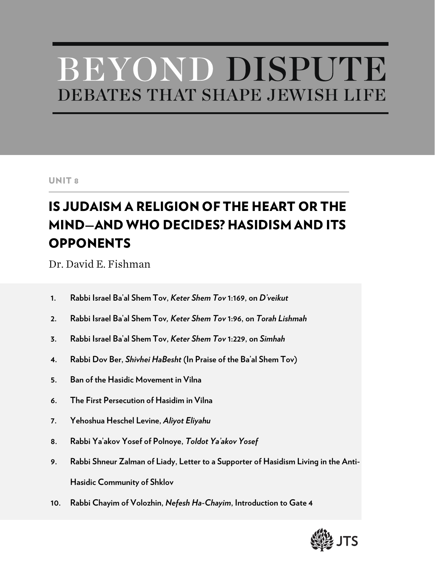# BEYOND DISPUTE DEBATES THAT SHAPE JEWISH LIFE

#### UNIT 8

## IS JUDAISM A RELIGION OF THE HEART OR THE MIND—AND WHO DECIDES? HASIDISM AND ITS **OPPONENTS**

Dr. David E. Fishman

- **1. Rabbi Israel Ba'al Shem Tov,** *Keter Shem Tov* **1:169, on** *D'veikut*
- **2. Rabbi Israel Ba'al Shem Tov***, Keter Shem Tov* **1:96, on** *Torah Lishmah*
- **3. Rabbi Israel Ba'al Shem Tov,** *Keter Shem Tov* **1:229, on** *Simhah*
- **4. Rabbi Dov Ber,** *Shivhei HaBesht* **(In Praise of the Ba'al Shem Tov)**
- **5. Ban of the Hasidic Movement in Vilna**
- **6. The First Persecution of Hasidim in Vilna**
- **7. Yehoshua Heschel Levine,** *Aliyot Eliyahu*
- **8. Rabbi Ya'akov Yosef of Polnoye,** *Toldot Ya'akov Yosef*
- **9. Rabbi Shneur Zalman of Liady, Letter to a Supporter of Hasidism Living in the Anti-Hasidic Community of Shklov**
- **10. Rabbi Chayim of Volozhin,** *Nefesh Ha-Chayim***, Introduction to Gate 4**

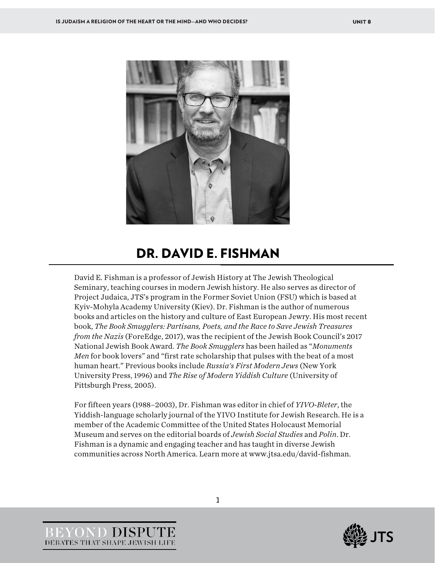

### DR. DAVID E. FISHMAN

David E. Fishman is a professor of Jewish History at The Jewish Theological Seminary, teaching courses in modern Jewish history. He also serves as director of Project Judaica, JTS's program in the Former Soviet Union (FSU) which is based at Kyiv-Mohyla Academy University (Kiev). Dr. Fishman is the author of numerous books and articles on the history and culture of East European Jewry. His most recent book, *The Book Smugglers: Partisans, Poets, and the Race to Save Jewish Treasures from the Nazis* (ForeEdge, 2017), was the recipient of the Jewish Book Council's 2017 National Jewish Book Award. *The Book Smugglers* has been hailed as "*Monuments Men* for book lovers" and "first rate scholarship that pulses with the beat of a most human heart." Previous books include *Russia's First Modern Jews* (New York University Press, 1996) and *The Rise of Modern Yiddish Culture* (University of Pittsburgh Press, 2005).

For fifteen years (1988–2003), Dr. Fishman was editor in chief of *YIVO-Bleter*, the Yiddish-language scholarly journal of the YIVO Institute for Jewish Research. He is a member of the Academic Committee of the United States Holocaust Memorial Museum and serves on the editorial boards of *Jewish Social Studies* and *Polin*. Dr. Fishman is a dynamic and engaging teacher and has taught in diverse Jewish communities across North America. Learn more at www.jtsa.edu/david-fishman.



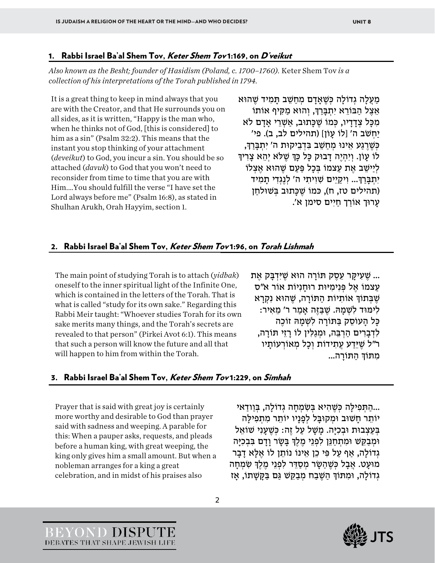#### 1. Rabbi Israel Ba'al Shem Tov, Keter Shem Tov 1:169, on D'veikut

*Also known as the Besht; founder of Hasidism (Poland, c. 1700–1760).* Keter Shem Tov *is a collection of his interpretations of the Torah published in 1794.*

It is a great thing to keep in mind always that you are with the Creator, and that He surrounds you on all sides, as it is written, "Happy is the man who, when he thinks not of God, [this is considered] to him as a sin" (Psalm 32:2). This means that the instant you stop thinking of your attachment (*deveikut*) to God, you incur a sin. You should be so attached (*davuk*) to God that you won't need to reconsider from time to time that you are with Him.…You should fulfill the verse "I have set the Lord always before me" (Psalm 16:8), as stated in Shulhan Arukh, Orah Hayyim, section 1.

מַעֲלָה גְדוֹלָה כְּשֵׁאֲדָם מְחַשֵּׁב תַּמִיד שָׁהוּא אֵצֶל הַבּוֹרֵא יִתְבַּרִךְ, וְהוּא מַקִּיף אוֹתוֹ מִכּל צְדִדִיו, כְּמוֹ שֶׁכַּתוּב, אַשָּׁרֵי אִדָם לֹא יחשׂב ה' [לוֹ עִוֹן] (תהילים לב, ב). פי' כִּשְׁרגע אִינוּ מִחְשָׁב בַּדְבִיקוּת ה' יִתְבַּרְדָּ, לוֹ עָוֹן. וְיִהְיֶה דַבוּק כָּל כַּךְּ שֶׁלֹּא יְהֵא צַרְיךָ לִיישֵׁב אֶת עַצמוֹ בְּכַל פַּעָם שֶהוּא אֶצְלוֹ יִתְבַּרַךָּ... וְיקַיֵים שָׁוִיתִי ה' לְנֵגְדִי תַמְיד (תהילים טז, ח), כּמוֹ שֵׁכַּתוּב בִּשׁוּלחַן עַרוּך אוֹרַך חַיִים סימן א'.

#### 2. Rabbi Israel Ba'al Shem Tov, Keter Shem Tov 1:96, on Torah Lishmah

The main point of studying Torah is to attach (*yidbak*) oneself to the inner spiritual light of the Infinite One, which is contained in the letters of the Torah. That is what is called "study for its own sake." Regarding this Rabbi Meir taught: "Whoever studies Torah for its own sake merits many things, and the Torah's secrets are revealed to that person" (Pirkei Avot 6:1). This means that such a person will know the future and all that will happen to him from within the Torah.

... שֶׁעָיקַר עֵסֶק תּוֹרַה הוּא שֶׁיִּדְבַּק אֵת עצמוֹ אֶל פְּנִימִיּוּת רוּחנִיוֹת אוֹר א״ס שֶׁבְּתוֹךְ אוֹתְיוֹת הַתּוֹרַה, שֶׁהוּא נִקְרַא לִימּוּד לִשָּׁמִהּ. שֶׁבַּזֶּה אִמַר ר' מֵאִיר: כַּל הַעוֹסֻק בַּתּוֹרַה לְשָׁמַהּ זוֹכֶה לִדְבָרִים הַרְבֶּה, וּמְגַלִּין לוֹ רַזֵי תּוֹרַה, ר"ל שֶׁיֵּדַע עֵתְידוֹת וְכַל מְאוֹרְעוֹתַיו מִתּוֹךְ הִתּוֹרֵה...

#### 3. Rabbi Israel Ba'al Shem Tov, Keter Shem Tov 1:229, on Simhah

Prayer that is said with great joy is certainly more worthy and desirable to God than prayer said with sadness and weeping. A parable for this: When a pauper asks, requests, and pleads before a human king, with great weeping, the king only gives him a small amount. But when a nobleman arranges for a king a great celebration, and in midst of his praises also

YOND DISPUTE DEBATES THAT SHAPE JEWISH LIFE

...התּפילה כּשַׁהיא בִּשְׂמחה גדוֹלה, בּוודאי... יוֹתֵר חַשׁוּב וּמִקוּבַּל לְפָנַיו יוֹתֵר מִתְפִילַּה בְּעַצְבוּת וּבְכִיַּה. מַשַׁל עַל זֶה: כְּשֶׁעַנִי שׁוֹאֵל וּמְבַקֵּשׁ וּמִתְחַנֵּן לִפְנֵי מֶלֶךְ בַּשָׂר וַדָם בִּבְכְיַּה גְדוֹלַה, אַף עַל פִּי כֵן אֵינוֹ נוֹתֵן לוֹ אֵלַּא דָבָר מוּעָט. אֲבָל כִּשֶׁהַשָּׂר מִסַדֵּר לִפְנֵי מֵלֵךְ שָׂמְחָה גְדוֹלָה, וּמִתּוֹךְ הַשֶּׁבַח מְבַקֵּשׁ גַּם בַּקָּשָׁתוֹ, אָז

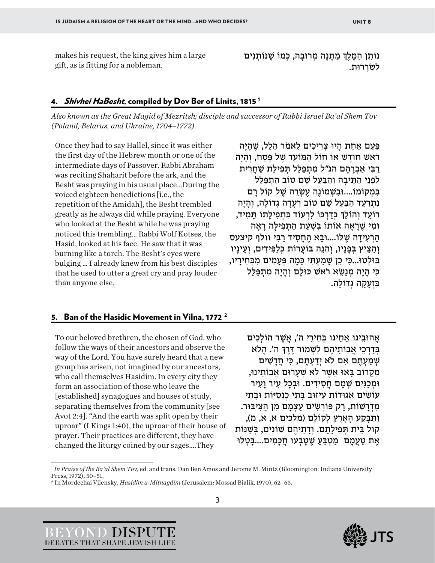makes his request, the king gives him a large gift, as is fitting for a nobleman.

נוֹתֵן הַמֶּלֶךְ מַתַּנַה מְרוּבַּה, כְּמוֹ שֵׁנּוֹתְנִים לשׂררוּת.

#### 4. Shivhei HaBesht, compiled by Dov Ber of Linits, [1](#page-3-0)815<sup>1</sup>

*Also known as the Great Magid of Mezritsh; disciple and successor of Rabbi Israel Ba'al Shem Tov (Poland, Belarus, and Ukraine, 1704–1772).* 

Once they had to say Hallel, since it was either the first day of the Hebrew month or one of the intermediate days of Passover. Rabbi Abraham was reciting Shaharit before the ark, and the Besht was praying in his usual place…During the voiced eighteen benedictions [i.e., the repetition of the Amidah], the Besht trembled greatly as he always did while praying. Everyone who looked at the Besht while he was praying noticed this trembling… Rabbi Wolf Kotses, the Hasid, looked at his face. He saw that it was burning like a torch. The Besht's eyes were bulging … I already knew from his best disciples that he used to utter a great cry and pray louder than anyone else.

פַּעַם אַחַת הַיוּ צְרִיכִים לֵאמֹר הַלֵּל, שֶׁהַיָּה רֹאשׁ חוֹדשׁ אוֹ חוֹל הִמּוֹעַד שַׁל פַּסַח, וְהִיה רבִי אברהם הנ"ל מתפּלל תִּפִילֹת שַׁחְרִית לִפְנֵי הִתִּיבָה וְהִבֵּעָל שֵׁם טוֹב התִפַּלִּל בִּמְקוֹמוֹ....וּבִשְׁמוֹנָה עָשְׂרָה שַׁל קוֹל רִם נִתְרַעֵד הִבַּעַל שֵׁם טוֹב רְעָדָה גְדוֹלָה, וְהִיה רוֹעֵד וְהוֹלֵךְ כִּדַרְכּוֹ לִרְעוֹד בִּתְפִילַּתוֹ תַּמְיד, וּמִ י שֶׁ רָ אָה א וֹתוֹ בִּ שְׁ עַ ת הַ תְּ פִ ילָּ ה רָ אָה הַרְעִידַה שֶׁלּוֹ....וּבָא הֶחַסִיד רַבִּי וולף קיצעס וְהֶצֵיץ בְּפַנַיו, וְהִנֵּה בּוֹעֵרוֹת כְּלַפִּידִים, וְעֵינַיו בּוּלְטוּ...כִּי כֵן שַׁמַעִתְּי כַּמַה פְּעָמִים מִבְּחִירַיו, כִּי הַיַה מְנַשֵּׂא רֹאשׁ כּוּלַם וְהַיַה מִתְפַּלֶל בִּזְעָקָה גְדוֹלָה.

#### 5. Ban of the Hasidic Movement in Vilna, 177[2](#page-3-1)<sup>2</sup>

To our beloved brethren, the chosen of God, who follow the ways of their ancestors and observe the way of the Lord. You have surely heard that a new group has arisen, not imagined by our ancestors, who call themselves Hasidim. In every city they form an association of those who leave the [established] synagogues and houses of study, separating themselves from the community [see Avot 2:4]. "And the earth was split open by their uproar" (I Kings 1:40), the uproar of their house of prayer. Their practices are different, they have changed the liturgy coined by our sages….They

אֲהוּבֵינוּ אַחֵינוּ בְּחִירֵי ה', אֲשֶׁר הוֹלְכִים בְּדִרְכֵי אֲבוֹתֵיהֶם לִשְׁמוֹר דֶּרֶךְ ה'. הֲלֹא שְׁמַעְתֵּם אִם לֹא יְדַעְתֵּם, כִּי חֲדָשִׁים מקרוֹב בַּאוּ אַשָׁר לֹאַ שַׁעְרוּם אַבוֹתִינוּ, וּמְכִנּיִם שִׁמֵם חִסִידִים. וּבְכָל עִיר וְעִיר עוֹשִׂים אֲגוּדוֹת עִיזוּב בַּתֵי כְנֵסִיּוֹת וּבִתֵי מִדְרַשׁוֹת, רַק פּוֹרְשִׂים עַצְמַם מִן הַצִּיבּוּר. וַ תִּ בָּ קַ ע הָ אָרֶ ץ לְקוֹלָם (מלכים א, א, מ), קוֹל בֵּית תְּפִילָתָם. וְדָתֵיהֶם שׁוֹנִים, בְּשַׁנּוֹת ּ אֶת טַעֲמָם מַטְבֵּעַ שֵׁטָּבְעוּ חֵכָמִים....בָּטְלוּ





<span id="page-3-0"></span><sup>1</sup> *In Praise of the Ba'al Shem Tov,* ed. and trans. Dan Ben Amos and Jerome M. Mintz (Bloomington: Indiana University Press, 1972), 50–51.

<span id="page-3-1"></span><sup>2</sup> In Mordechai Vilensky, *Hasidim u-Mitnagdim* (Jerusalem: Mossad Bialik, 1970), 62–63.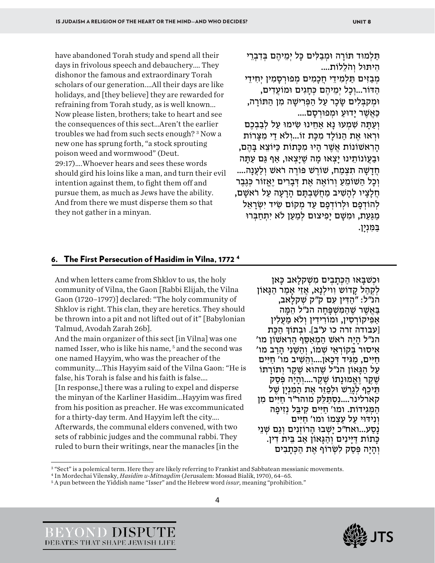have abandoned Torah study and spend all their days in frivolous speech and debauchery.… They dishonor the famous and extraordinary Torah scholars of our generation.…All their days are like holidays, and [they believe] they are rewarded for refraining from Torah study, as is well known... Now please listen, brothers; take to heart and see the consequences of this sect…Aren't the earlier troubles we had from such sects enough? [3](#page-4-0) Now a new one has sprung forth, "a stock sprouting poison weed and wormwood" (Deut. 29:17)….Whoever hears and sees these words should gird his loins like a man, and turn their evil intention against them, to fight them off and pursue them, as much as Jews have the ability. And from there we must disperse them so that they not gather in a minyan.

תַּלְמוּד תּוֹרָה וּמְבַלִּים כָּל יִמֵיהֵם בִּדְבְרֵי . היתּוּל והֹללוֹת....

מְבַזִּים תַּלְמִידֵי חֵכֲמִים מְפוּרְסָמִין יְחִידֵי הַ דּוֹ ר...וְ כָל יְמֵ יהֶ ם כְּ חָ גִים וֹמוּ עֲדִ ים, וּמְקִבְּלִים שֵׂכָר עַל הַפְּרִישַׁה מִן הַתּוֹרַה, כַּ אֲ שֶׁ ר יָדוּעַ וּמְ פ וּרְ סָ ם .... וְעַתַּה שָׁמְעוּ נַא אַחֵינוּ שִׂימוּ עַל לְבַבְכֶם וּרְאוּ אֶת הַנּוֹלַד מִכָּת זוֹ...וְלֹא דַי מִצַּרוֹת הָרִאשׁוֹנוֹת אֲשֶׁר הַיוּ מִכַּתוֹת כַּיּוֹצֵא בַּהֶם, ּוּבַעֲוֹנוֹתֵינוּ יַצְאוּ מַה שֶׁיַצְאוּ, אַף גַּם עַתַּה

חֲדָשָׁה תִצְמַח, שׁוֹרֵשׁ פּוֹרֶה רֹאשׁ וְלַעֲנָה.... וְכָל הַשׁוֹמֵעַ וְרוֹאֵה אֶת דְּבָרִים יֶאֱזוֹר כְּגֶבֶר חֲלָצִיו לְהִשִׁיב מִחֲשַׁבְתָּם הרִעָה עָל רֹאשִׁם, לְהוֹדְפָם וּלְרוֹדְפָם עַד מְקוֹם שִׂיד יְשָׂרַאֵל מַגַּעַת, וּמִשָּׁם יַפְיצוּם לְמַעַן לֹא יִתְחַבְּרוּ בַּ מִּ נְיָן.

#### 6. The First Persecution of Hasidim in Vilna, 1772 [4](#page-4-1)

And when letters came from Shklov to us, the holy community of Vilna, the Gaon [Rabbi Elijah, the Vilna Gaon (1720–1797)] declared: "The holy community of Shklov is right. This clan, they are heretics. They should be thrown into a pit and not lifted out of it" [Babylonian Talmud, Avodah Zarah 26b].

And the main organizer of this sect [in Vilna] was one named Isser, who is like his name,<sup>[5](#page-4-2)</sup> and the second was one named Hayyim, who was the preacher of the community….This Hayyim said of the Vilna Gaon: "He is false, his Torah is false and his faith is false….

[In response,] there was a ruling to expel and disperse the minyan of the Karliner Hasidim…Hayyim was fired from his position as preacher. He was excommunicated for a thirty-day term. And Hayyim left the city….

Afterwards, the communal elders convened, with two sets of rabbinic judges and the communal rabbi. They ruled to burn their writings, near the manacles [in the

וּכְשׁבָאוּ הַכְּתָבְים מִשְׁקלָאב כָּאן<br>לִקְהל קדוֹש וְוילְנִא, אֵזֵי אמר הגּאוֹן הנ"ל: "הַ דִּ ין עִ ם ק"ק שְׁ קלָאב, ַ בַּאֲשֶׁר שֶׁהַמְּשָׁפַּחָה הנ״ל הֶמֵּה אַפִּיקוֹרְסִין, וּמוֹרִידִין וְלֹא מַעֲלִין [עבודה זרה כו ע"ב]. וּבְתוֹךְ הכּת 'הַיָּה רֹאשׁ הַמְאַסֶף הַרְאשׁוֹן מו אִיסוּר בַּקוֹרְאֵי שָׁמוֹ, וְהַשֵּׁנִי הִרֹב מו' חַיִּים, מַגִּיד דְּכָאן....וְהֵשִׁיב מו' חַיִּים<br>עַל הַגַּאוֹן הנ״ל שֶׁהוּא שֶׁקֵר וְתוֹרַתוֹ ְשֶׁקֶר וַאֱמוּנַתוֹ שֶׁקֶר....וְהִיה פְּסַק תֵּיכֶף לְגָרֵשׁ וּלְפַזֶּר אֶת הַמִּנְיָן שֵׁל קארלינר....נִסְתַּלֵּק מוהר״ר חַיִּים מֵן הַמְּגִידוֹת. ומו' חַיִּים קִיבֵּל נְזִיפַה וּ נִידּוּי עַל עַצְמוֹ ומו' חיּים נַסַע...ואח"כ יַשְׁבוּ הַרוֹזְנִים וְגַם שָׁנֵי כְּתוֹת דַּיַּינִים וְהַגֵּאוֹן אַב בֵּית דִין. וְהַיָּה פְּסַק לִשְׂרוֹף אֶת הַכְּתַבְים





<span id="page-4-0"></span><sup>3</sup> "Sect" is a polemical term. Here they are likely referring to Frankist and Sabbatean messianic movements.

<span id="page-4-1"></span><sup>4</sup> In Mordechai Vilensky, *Hasidim u-Mitnagdim* (Jerusalem: Mossad Bialik, 1970), 64–65.

<span id="page-4-2"></span><sup>5</sup> A pun between the Yiddish name "Isser" and the Hebrew word *issur*, meaning "prohibition."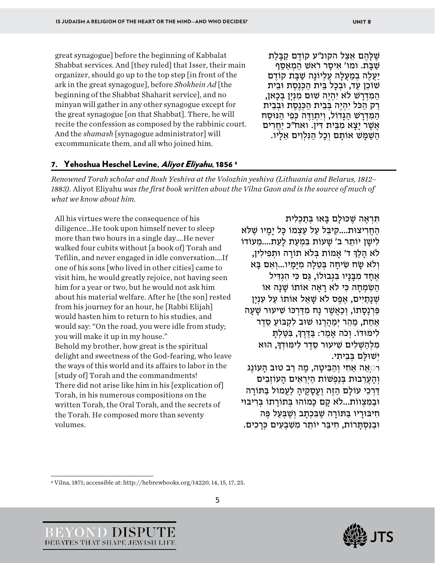great synagogue] before the beginning of Kabbalat Shabbat services. And [they ruled] that Isser, their main organizer, should go up to the top step [in front of the ark in the great synagogue], before *Shokhein Ad* [the beginning of the Shabbat Shaharit service], and no minyan will gather in any other synagogue except for the great synagogue [on that Shabbat]. There, he will recite the confession as composed by the rabbinic court. And the *shamash* [synagogue administrator] will excommunicate them, and all who joined him.

שֶׁלָּהֶם אֵצֵל הקונ״ע קוֹדֶם קַבָּלַת<br>שַׁבּת. ומו' אֵיסר רֹאשׁ המַאִסֵּף יעלה במעלה עליוֹנה שִׁבַּת קוֹדִם שׁוֹכֵן עַד, וּבְכָל בֵּית הַכְּנֶסֶת וּבֵית<br>המִדְרֹשׁ לֹא יִהְיֶה שׁוּם מִנְיַן בִּכִאן, רַ ק הַ כֹּ ל יִהְ יֶה בְּ בֵית הַ כְּ נֶסֶ ת וּבְ בֵית הַמְּדְרַשׁ הַגֵּדוֹל, וְיִתְוַדֶּה כִּפְי הַנּוּסַח אֲשֶׁר יִצָא מִבֵּית דִּין. ואח״כ יַחֲרִים הַשָּׁמַּשׁ אוֹתֵם וְכָל הַנְּלְוִים אֵלְיו.

#### 7. Yehoshua Heschel Levine, Aliyot Eliyahu, 185[6](#page-5-0)<sup>6</sup>

*Renowned Torah scholar and Rosh Yeshiva at the Volozhin yeshiva (Lithuania and Belarus, 1812– 1883).* Aliyot Eliyahu *was the first book written about the Vilna Gaon and is the source of much of what we know about him.*

All his virtues were the consequence of his diligence…He took upon himself never to sleep more than two hours in a single day….He never walked four cubits without [a book of] Torah and Tefilin, and never engaged in idle conversation….If one of his sons [who lived in other cities] came to visit him, he would greatly rejoice, not having seen him for a year or two, but he would not ask him about his material welfare. After he [the son] rested from his journey for an hour, he [Rabbi Elijah] would hasten him to return to his studies, and would say: "On the road, you were idle from study; you will make it up in my house." Behold my brother, how great is the spiritual delight and sweetness of the God-fearing, who leave the ways of this world and its affairs to labor in the [study of] Torah and the commandments! There did not arise like him in his [explication of] Torah, in his numerous compositions on the written Torah, the Oral Torah, and the secrets of the Torah. He composed more than seventy volumes.

#### תִּרְאֶה שֶׁכּוּלָם בַּאוּ בְּתַכְלִית

הּחֵרִיצוּת....קִיבֵּל עַל עַצְמוֹ כַּל יִמִיו שַׁלֹּא לישו יוֹתר ב' שִׁעוֹת בּמִעָת לִעָת....מֵעוֹדוֹ לֹא הִלְךְּ ד' אִמוֹת בְּלֹא תוֹרָה וּתְפִילִין, וְלֹא שָׂח שִׂיחַה בְּטֶלָה מְיַּמֵיו...וְאִם בַּא אֶחַד מִבּנִיו בְּגְבוּלוֹ, גִּם כִּי הָגְדִיל הַשְׂמְחָה כִּי לֹא רַאֲה אוֹתוֹ שַׁנַה אוֹ שְׁנַתַיִּים, אֶפֶס לֹא שָׁאַל אוֹתוֹ עַל עִנְיַן פַּרְנַסַתוֹ, וְכַאֲשֶׁר נַח מִדַּרְכּוֹ שִׂיעוּר שַׁעַה אחת, מִהֶר יְמִהֲרֶנוּ שׁוּב לִקְבּוֹעַ סֵדֶר לִימּוּדוֹ. וְכֹה אַמַר: בַּדֶּרֶךְ, בִּטַּלְתַּ מִלְהַשָּׁלִים שִׁיעוּר סֵדֶר לִימּוּדְךָ, הוּא יְ שׁוּלָּ ם בְּ בֵיתִ י.

ּרֹיְאֵה אַחִי וְהַבִּיטֵה, מֵה רַב טוּב הַעוֹנֵג וְהַעֲרֵבוּת בְּנַפְשׁוֹת הַיְרֵאִים הַעוֹזְבִים ַ דַּרְכֵי עוֹלַם הַזֶּה וֶעֱסָקֶיהַ לַעֲמוֹל בַּתּוֹרַה וּבַמְצְווֹת...לֹא קַם כָּמוֹהוּ בְּתוֹרַתוֹ בִּרְיבּוּי חִ יבּוּרָ יו בַּ תּוֹרָ ה שֶׁ בִּ כְתָ ב וְ שֶׁ בְּ עַ ל פֶּ ה וּבַ נִּ תָּ סְ ר תוֹ , חִ יבֵּ ר וֹי תֵ ר מִ שִׁ בְ עִ ים כְּ רָ כִים.





<span id="page-5-0"></span><sup>6</sup> Vilna, 1871; accessible at[: http://hebrewbooks.org/14220,](http://hebrewbooks.org/14220) 14, 15, 17, 25.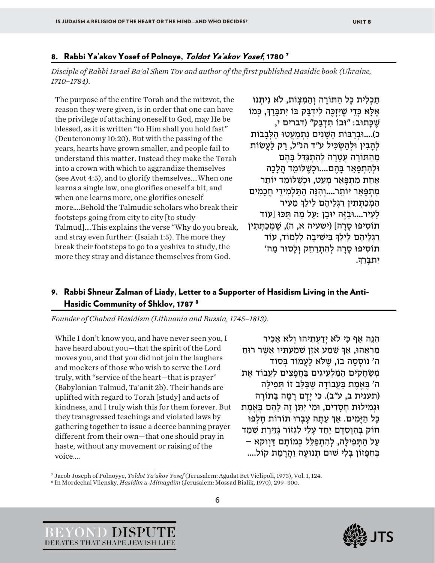#### 8. Rabbi Ya'akov Yosef of Polnoye, Toldot Ya'akov Yosef, 1780<sup>7</sup>

*Disciple of Rabbi Israel Ba'al Shem Tov and author of the first published Hasidic book (Ukraine, 1710–1784).*

The purpose of the entire Torah and the mitzvot, the reason they were given, is in order that one can have the privilege of attaching oneself to God, may He be blessed, as it is written "to Him shall you hold fast" (Deuteronomy 10:20). But with the passing of the years, hearts have grown smaller, and people fail to understand this matter. Instead they make the Torah into a crown with which to aggrandize themselves (see Avot 4:5), and to glorify themselves….When one learns a single law, one glorifies oneself a bit, and when one learns more, one glorifies oneself more….Behold the Talmudic scholars who break their footsteps going from city to city [to study Talmud]….This explains the verse "Why do you break, and stray even further: (Isaiah 1:5). The more they break their footsteps to go to a yeshiva to study, the more they stray and distance themselves from God.

תַּכְלִית כַּל הַתּוֹרַה וְהַמְּצְוֹת, לֹא נִיתִּנוּ אֶלָּא כְּדֵי שֵׁיִּזְכֶה לִידְבַּק בּוֹ יִתבַּרַךְ, כְּמוֹ שֶׁכַּתוּב: "וּבוֹ תִדְבַּק" (דברים י, כ)....וּבְרִבּוֹת הַשָּׁנִים נִתְמַעֲטוּ הַלְּבְבוֹת לְהִבְין וּלְהַשְׂכִּיל ע"ד הנ"ל, רַק לַעֲשׂוֹת מֶהַתּוֹרָה עֵטֲרָה לְהְתְגַּדֵּל בַּהֶם וּלְהִ תְ פָּ אֵ ר בָּ הֶ ם.... וּכְ שֶׁ לּוֹמֵ ד הֲלָכָה אַחַת מִתְפָּאֵר מְעַט, וּכְשֶׁלּוֹמֵד יוֹתֵר מִתְפַּאֵר יוֹתֵר....וְהִנֵּה הִתִּלְמִידֵי חֲכִמִים הַמְכַתְּתִין רַגְלֵיהֶם לֵילֵךְ מֵעָיר לִעְיר....וּבַזֶּה יוּבַן :עַל מַה תְּכּוּ [עוֹד תוֹסִיפוּ סַרַה] (ישעיה א, ה), שֶׁמְכַתְּתִין ְרַגְלֵיהֶם לִילֵךְ בִּישִׁיבַה לִלְמוֹד, עוֹד 'תוֹסִיפוּ סַרַה לְהָתְרַחֶק וְלַסוּר מֵה יתבּרךּ.

#### 9. Rabbi Shneur Zalman of Liady, Letter to a Supporter of Hasidism Living in the Anti-Hasidic Community of Shklov, 1787 [8](#page-6-1)

*Founder of Chabad Hasidism (Lithuania and Russia, 1745–1813).*

While I don't know you, and have never seen you, I have heard about you—that the spirit of the Lord moves you, and that you did not join the laughers and mockers of those who wish to serve the Lord truly, with "service of the heart—that is prayer" (Babylonian Talmud, Ta'anit 2b). Their hands are uplifted with regard to Torah [study] and acts of kindness, and I truly wish this for them forever. But they transgressed teachings and violated laws by gathering together to issue a decree banning prayer different from their own—that one should pray in haste, without any movement or raising of the voice….

הִנֵּה אַף כִּי לֹא יִדַעְתְּיהוּ וְלֹא אַכִּיר מַרְאֵהוּ, אַךְ שֶׁמַע אֹזֶן שְׁמַעְתִּיו אֲשֶׁר רוּחַ ה' נוֹסְסָה בוֹ, שֶׁלֹּא לַעֲמוֹד בְּסוֹד מְשַׂחֲקִים הַמַּלִעְיגִים בַּחֵפַצְים לַעֲבוֹד אֶת ה' בֵּאֱמֶת בַּעֲבוֹדָה שֶׁבַּלֶּב זוֹ תִּפְילָה (תענית ב, ע"ב). כִּי יַדָם רַמַה בַּתּוֹרַה וּגְמִילוּת חֲסִדִים, וּמִי יִתֵּן זֶה לִהֶם בֵּאֲמֶת כַּל הימים. אִדְּ עִתָּה עָבְרוּ תּוֹרוֹת חלפוּ חוֹק בְּהִוְסָדִם יַחִד עָלִי לְגְזוֹר גְּזֵירַת שָׁמַד עַל הַתְּפִילָה, לְהִתְפַּלֵל כְּמוֹתָם דַּוְוקא – בְּחִפָּזוֹן בְּלִי שׁוּם תְּנוּעָה וַהֲרָמַת קוֹל....

<span id="page-6-1"></span><span id="page-6-0"></span><sup>7</sup> Jacob Joseph of Polnoyye, *Toldot Ya'akov Yosef* (Jerusalem: Agudat Bet Vielipoli, 1973), Vol. 1, 124. 8 In Mordechai Vilensky, *Hasidim u-Mitnagdim* (Jerusalem: Mossad Bialik, 1970), 299–300.



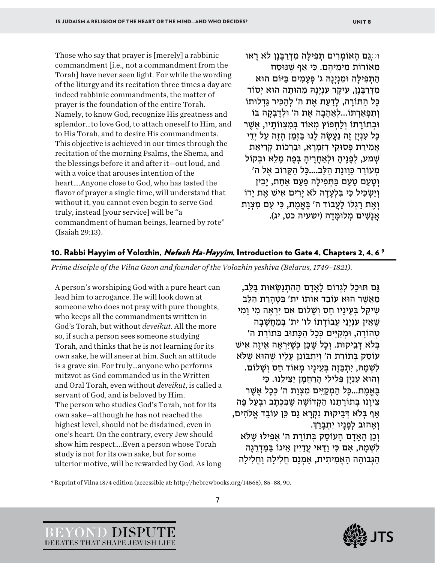Those who say that prayer is [merely] a rabbinic commandment [i.e., not a commandment from the Torah] have never seen light. For while the wording of the liturgy and its recitation three times a day are indeed rabbinic commandments, the matter of prayer is the foundation of the entire Torah. Namely, to know God, recognize His greatness and splendor…to love God, to attach oneself to Him, and to His Torah, and to desire His commandments. This objective is achieved in our times through the recitation of the morning Psalms, the Shema, and the blessings before it and after it—out loud, and with a voice that arouses intention of the heart….Anyone close to God, who has tasted the flavor of prayer a single time, will understand that without it, you cannot even begin to serve God truly, instead [your service] will be "a commandment of human beings, learned by rote" (Isaiah 29:13).

ּ וֹ $\mathbb{C}$ גַם הַאוֹמְרִים תִּפְילַה מִדְּרַבְּנַן לֹא רַאוּ מִאוֹרוֹת מימִיהם. כִּי אֵף שַׁנּוּסַח התּפילה וּמנינהּ ג' פּעמים בּיּוֹם הוּא מִדִּרְבֵּנַן, עִיקָר עָנְיָנַהּ מהוּתָה הוּא יְסוֹד ּכַּל הַתּוֹרַה, לַדַעַת אֶת ה' לְהַכִּיר גַּדְלוּתוֹ וְתִפְאַרְתּוֹ...לְאַהֲבָה אֶת ה' וּלְדַבְקַה בּוֹ וּבְתוֹרַתוֹ וְלַחְפּוֹץ מְאוֹד בִּמְצְווֹתַיו, אֲשֶׁר כָּל עִנְיַן זֶה נַעֲשָׂה לְנוּ בַּזְמַן הְזֶה עַל יְדֵי אֲמִירַת פְּסוּקֵי דְזִמְרָא, וּבִרְכוֹת קְרִיאַת שִׁמע, לְפָנֵיהַ וּלְאַחֲרֵיהַ בְּפֶה מַלֵא וּבִקוֹל 'מְעוֹרֵר כּוונת הַלֶּב....כִּל הַקְּרוֹב אֶל ה וטעם טעם בּתּפילה פּעם אחת, יבין וְיַשְׂכִּיל כִּי בַּלְעָדָהּ לֹא יַרִים אֵישׁ אֶת יִדוֹ וְאֶת רַגְלוֹ לַעֲבוֹד ה' בֵּאֱמֶת, כִּי עִם מִצְוַת אַנַשִׁים מַלוּמֵּדָה (ישַׁעִיה כט, יג).

#### 10. Rabbi Hayyim of Volozhin, *Nefesh Ha-Hayyim*, Introduction to Gate 4, Chapters 2, 4, 6<sup>[9](#page-7-0)</sup>

*Prime disciple of the Vilna Gaon and founder of the Volozhin yeshiva (Belarus, 1749–1821).*

A person's worshiping God with a pure heart can lead him to arrogance. He will look down at someone who does not pray with pure thoughts, who keeps all the commandments written in God's Torah, but without *deveikut*. All the more so, if such a person sees someone studying Torah, and thinks that he is not learning for its own sake, he will sneer at him. Such an attitude is a grave sin. For truly…anyone who performs mitzvot as God commanded us in the Written and Oral Torah, even without *deveikut*, is called a servant of God, and is beloved by Him. The person who studies God's Torah, not for its own sake—although he has not reached the highest level, should not be disdained, even in one's heart. On the contrary, every Jew should show him respect….Even a person whose Torah study is not for its own sake, but for some ulterior motive, will be rewarded by God. As long

גַּם תּוּכַל לִגְרוֹם לַאַדַם הַהְתְנַשָׂאוּת בַּלֶּב, מֵאָשֶׁר הוּאָ עוֹבִד אוֹתוֹ יִת' בַּטְהִרֹת הַלֶּב שִׂיקֵל בְּעֵינִיו חס וְשַׁלוֹם אִם יִרְאֶה מִי וִמְי שֶׁאֵין עִנְיַנֵי עֲבוֹדָתוֹ לו' ית' בְּמַחֲשָׁבַה 'טְהוֹרַה, וּמְקַיֵּים כְּכָל הַכָּתוּב בְּתוֹרַת ה בְּלֹא דְּבֵיקוּת. וְכָל שֶׁכֵּן כְּשֵׁיִּרְאֶה אֵיזֶה אִישׁ ֿעוֹסֶק בְּתוֹרַת ה' וְיִתְבּוֹנֵן עַלַיו שֶׁהוּא שֶׁלֹּא לִשְׁמַהּ, יִתְבַּזֶה בְּעֵינַיו מִאוֹד חַס וְשַׁלוֹם. וְהוּא עָנָיַן פְּלִילִי הַרְחֲמַן יַצְילָנוּ. כִּי בֶּאֱמֶת...כַּל הַמְקַיֵּים מִצְוַת ה' כִּכַל אֲשֶׁר צִיוַנוּ בְּתוֹרַתֶנוּ הַקְדוֹשָׁה שֶׁבִּכְתַב וּבְעַל פֵּה אַף בִּלֹא דְּבֵיקוּת נִקְרָא גַם כֵּן עוֹבֵד אֱלֹהִים, וְאהוּב לְפִנִיו יְתְבַּרְךָ. וְכֵן הַאֲדָם הַעוֹסֵק בְּתוֹרַת ה' אֱפִילוּ שֶׁלֹּא לִשְׁמִהּ, אִם כִּי וִדְּאִי עֵדְיִין אֵינוֹ בַּמַּדְרֵגְה הַגְּבוֹהַה הַאֱמִיתִית, אֲמְנָם חֲלִילַה וַחֲלִילַה



<span id="page-7-0"></span><sup>9</sup> Reprint of Vilna 1874 edition (accessible at: http://hebrewbooks.org/14565), 85–88, 90.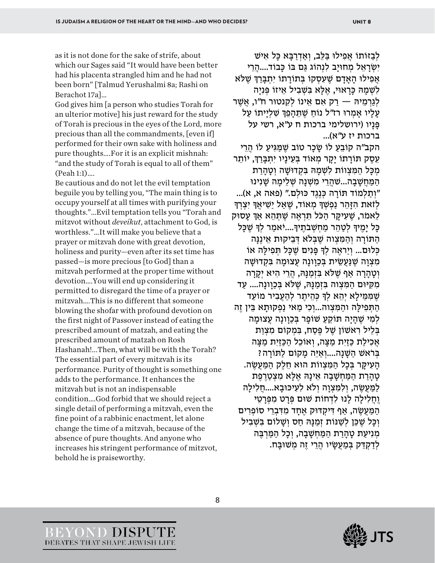as it is not done for the sake of strife, about which our Sages said "It would have been better had his placenta strangled him and he had not been born" [Talmud Yerushalmi 8a; Rashi on Berachot 17a]…

God gives him [a person who studies Torah for an ulterior motive] his just reward for the study of Torah is precious in the eyes of the Lord, more precious than all the commandments, [even if] performed for their own sake with holiness and pure thoughts….For it is an explicit mishnah: "and the study of Torah is equal to all of them" (Peah 1:1)….

Be cautious and do not let the evil temptation beguile you by telling you, "The main thing is to occupy yourself at all times with purifying your thoughts."…Evil temptation tells you "Torah and mitzvot without *deveikut*, attachment to God, is worthless."…It will make you believe that a prayer or mitzvah done with great devotion, holiness and purity—even after its set time has passed—is more precious [to God] than a mitzvah performed at the proper time without devotion….You will end up considering it permitted to disregard the time of a prayer or mitzvah….This is no different that someone blowing the shofar with profound devotion on the first night of Passover instead of eating the prescribed amount of matzah, and eating the prescribed amount of matzah on Rosh Hashanah!...Then, what will be with the Torah? The essential part of every mitzvah is its performance. Purity of thought is something one adds to the performance. It enhances the mitzvah but is not an indispensable condition….God forbid that we should reject a single detail of performing a mitzvah, even the fine point of a rabbinic enactment, let alone change the time of a mitzvah, because of the absence of pure thoughts. And anyone who increases his stringent performance of mitzvot, behold he is praiseworthy.

לִבְזּוֹתוֹ אִפִילוּ בַּלְב, וְאַדְרַבֵּא כַּל אִישׁ יִשְׂרֹאֵל מִחוּיַב לִנְהוֹג גִּם בּוֹ כִּבוֹד....הָרֵי אַ ילוּ האדם שִׁעסקוֹ בּתוֹרתוֹ יִתְבַּרְ ּשִׁלֹּא לִשְׁמהּ כִּרְאוּי, אֶלָּא בַּשָּׁבִיל אֵיזוֹ פְּנַיַה לְגֵרְמֵיהּ — רַק אִם אֵינוֹ לִקְנטוּר ח"ו, אֲשֶׁר עַלָיו אַמְרוּ רז"ל נוֹחַ שֶׁתֵּהַמֵּךְ שָׁלְיַיתוֹ עַל פָּ נָיו (ירושלימי ברכות ח ע"א, רשי על ברכות יז ע"א)... הקב"ה קוֹבֵעַ לוֹ שַׂכֵר טוֹב שֶׁמַגִּיעָ לוֹ הֲרֵי עֵסֶק תּוֹרַתוֹ יַקַר מְאוֹד בְּעֵינַיו יִתְבַּרַךְ, יוֹתֵר מְכַּל הַמִּצְווֹת לִשְׁמַהּ בִּקְדוּשָׁה וְטָהַרַת הַמַּחֲשָׁבַה...שֹׁהֵרִי מִשְׁנַה שָׁלִימַה שַׁנִינוּ "וְ תַ לְמ דוֹ תּוֹ רָ ה כְּ נֶגֶד כּוּ לְם ". (פאה א, א)... לְזֹאת הְזָּהֵר נַפְשְׁדָּ מְאוֹד, שֵׁאֲל יַשְׁיאֵדְ יִצְרְדָּ לֵאמֹר, שֶׁעָיקָר הִכֹּל תִּרְאֶה שֶׁתְּהֶא אִדְּ עִסוּק כַּל ימִידְ לְטַהֵר מַחְשָׁבַתַיִּהָ....יֹאמַר לִדְ שִׁכַּל הִתּוֹרָה וְהַמֵּצוּה שַׁבַּלֹא דְּבִיקוּת אִינִנָּה כִּלוּם... ויראה לך פּנים שִׁכַּל תִּפִילָה אוֹ מִצְוָה שֶׁנַּעֲשִׂית בְּכוונָה עֵצוּמַה בְּקְדוּשָׁה וְטָהַרָה אַף שֶׁלֹּא בְּזְמַנַּהּ, הֲרֵי הִיא יְקַרַה מִקִיּוּם הַמִּצְוה בְּזְמַנַּהּ, שֶׁלֹּא בְּכַוַונַה.... עַד ּ שֶׁמְּמֵילַא יְהֵא לִךְ כְּהֵיתֵר לְהַעֲבִיר מוֹעֵד הַתְּפִילַה והַמִּצְוה...וְכִי מַאי נַפְקוּתַא בֵּין זֶה לְמִי שֶׁהַיָּה תּוֹקֵעַ שׁוֹפָר בְּכַוַונַה עַצוּמַה בְּלֵיל רִאשׁוֹן שֶׁל פֵּסָח, בִּמְקוֹם מִצְוַת אֲכִילַת כַּזַיִת מַצָּה, וְאוֹכֶל הַכַּזַיִת מַצָּה בְּרֹאשׁ הַשָּׁנַה....וְאֵיֶּה מַקוֹם לַתּוֹרַה? הַעְיקָר בְּכַל הַמֶּצְווֹת הוּא חֻלֶק הַמַּעֲשֶׂה. טהרת המַחשַׁבה אִינַהּ אַלָּא מַצְטַרמַת למַעֲשֶׂה, וְלִמְצְוָה וְלֹא לְעָיכּוּבַא....חֲלִילִה וֵחֲלִילַה לַנוּ לִדְחוֹת שׁוּם פְּרַט מִפְּרָטֵי הַ מַּעֲשֶׂה, אַף דִּיקְדּוּק אֶחַד מִדְּבְרֵי סוֹפְרִים וְכַּל שֶׁכֵּן לְשָׁנּוֹת זְמַנַּהּ חַס וְשַׁלוֹם בִּשְׁבִיל מִנִיעַת טַהַרַת הַמַּחִשָּׁבַה, וְכָל הַמַּרְבֶּה לְדַקְדֶק בְּמַעֲשָׂיו הָרֵי זֶה מְשִׁוּבַּח.